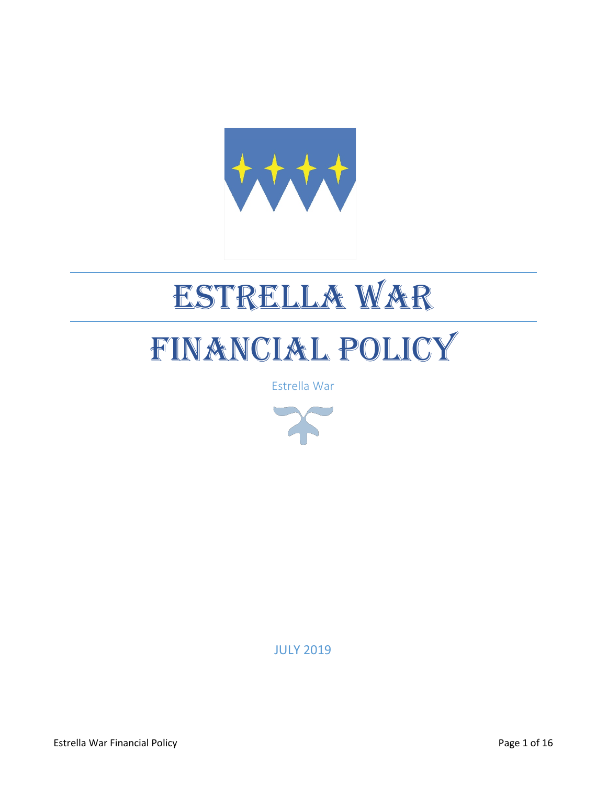

# ESTRELLA WAR

## FINANCIAL POLICY

Estrella War



JULY 2019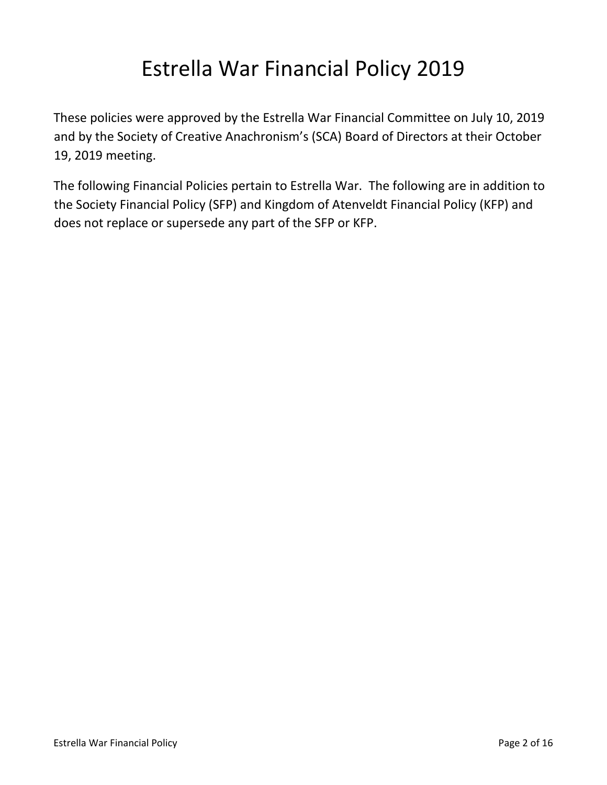### Estrella War Financial Policy 2019

These policies were approved by the Estrella War Financial Committee on July 10, 2019 and by the Society of Creative Anachronism's (SCA) Board of Directors at their October 19, 2019 meeting.

The following Financial Policies pertain to Estrella War. The following are in addition to the Society Financial Policy (SFP) and Kingdom of Atenveldt Financial Policy (KFP) and does not replace or supersede any part of the SFP or KFP.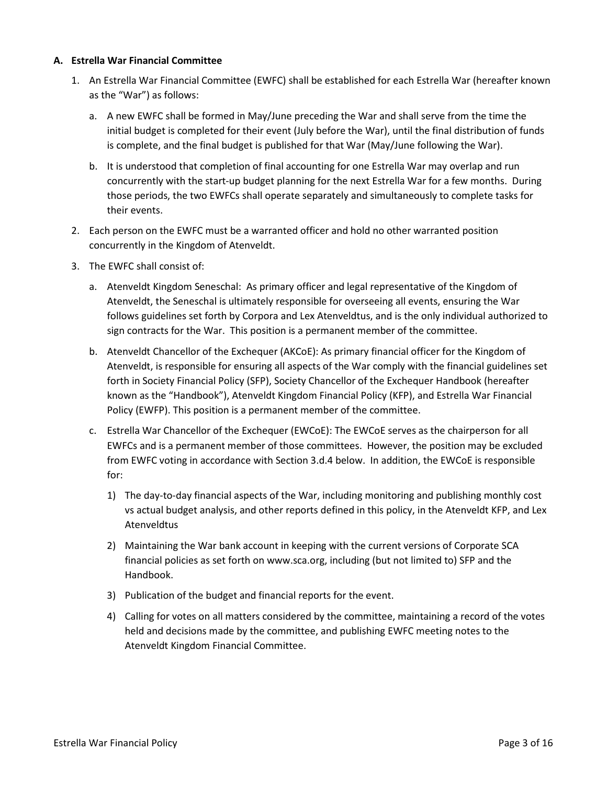#### **A. Estrella War Financial Committee**

- 1. An Estrella War Financial Committee (EWFC) shall be established for each Estrella War (hereafter known as the "War") as follows:
	- a. A new EWFC shall be formed in May/June preceding the War and shall serve from the time the initial budget is completed for their event (July before the War), until the final distribution of funds is complete, and the final budget is published for that War (May/June following the War).
	- b. It is understood that completion of final accounting for one Estrella War may overlap and run concurrently with the start-up budget planning for the next Estrella War for a few months. During those periods, the two EWFCs shall operate separately and simultaneously to complete tasks for their events.
- 2. Each person on the EWFC must be a warranted officer and hold no other warranted position concurrently in the Kingdom of Atenveldt.
- 3. The EWFC shall consist of:
	- a. Atenveldt Kingdom Seneschal: As primary officer and legal representative of the Kingdom of Atenveldt, the Seneschal is ultimately responsible for overseeing all events, ensuring the War follows guidelines set forth by Corpora and Lex Atenveldtus, and is the only individual authorized to sign contracts for the War. This position is a permanent member of the committee.
	- b. Atenveldt Chancellor of the Exchequer (AKCoE): As primary financial officer for the Kingdom of Atenveldt, is responsible for ensuring all aspects of the War comply with the financial guidelines set forth in Society Financial Policy (SFP), Society Chancellor of the Exchequer Handbook (hereafter known as the "Handbook"), Atenveldt Kingdom Financial Policy (KFP), and Estrella War Financial Policy (EWFP). This position is a permanent member of the committee.
	- c. Estrella War Chancellor of the Exchequer (EWCoE): The EWCoE serves as the chairperson for all EWFCs and is a permanent member of those committees. However, the position may be excluded from EWFC voting in accordance with Section 3.d.4 below. In addition, the EWCoE is responsible for:
		- 1) The day-to-day financial aspects of the War, including monitoring and publishing monthly cost vs actual budget analysis, and other reports defined in this policy, in the Atenveldt KFP, and Lex Atenveldtus
		- 2) Maintaining the War bank account in keeping with the current versions of Corporate SCA financial policies as set forth on www.sca.org, including (but not limited to) SFP and the Handbook.
		- 3) Publication of the budget and financial reports for the event.
		- 4) Calling for votes on all matters considered by the committee, maintaining a record of the votes held and decisions made by the committee, and publishing EWFC meeting notes to the Atenveldt Kingdom Financial Committee.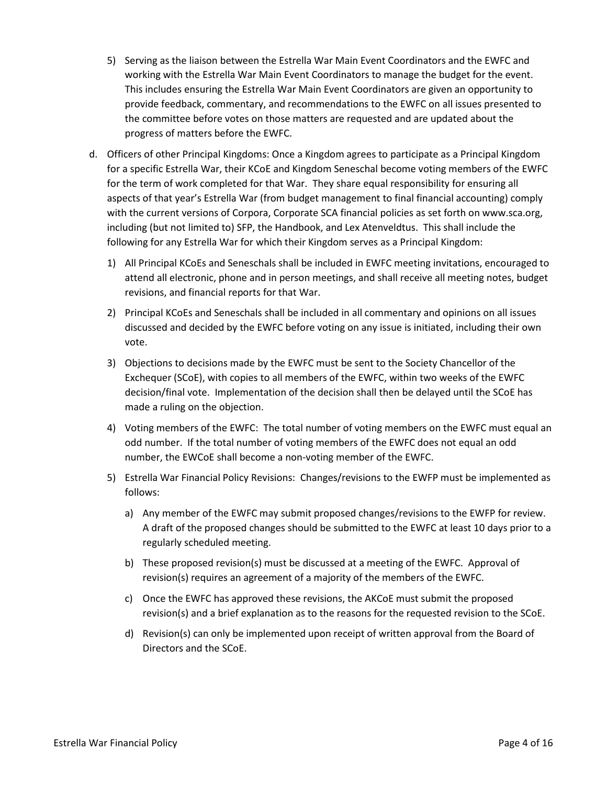- 5) Serving as the liaison between the Estrella War Main Event Coordinators and the EWFC and working with the Estrella War Main Event Coordinators to manage the budget for the event. This includes ensuring the Estrella War Main Event Coordinators are given an opportunity to provide feedback, commentary, and recommendations to the EWFC on all issues presented to the committee before votes on those matters are requested and are updated about the progress of matters before the EWFC.
- d. Officers of other Principal Kingdoms: Once a Kingdom agrees to participate as a Principal Kingdom for a specific Estrella War, their KCoE and Kingdom Seneschal become voting members of the EWFC for the term of work completed for that War. They share equal responsibility for ensuring all aspects of that year's Estrella War (from budget management to final financial accounting) comply with the current versions of Corpora, Corporate SCA financial policies as set forth on www.sca.org, including (but not limited to) SFP, the Handbook, and Lex Atenveldtus. This shall include the following for any Estrella War for which their Kingdom serves as a Principal Kingdom:
	- 1) All Principal KCoEs and Seneschals shall be included in EWFC meeting invitations, encouraged to attend all electronic, phone and in person meetings, and shall receive all meeting notes, budget revisions, and financial reports for that War.
	- 2) Principal KCoEs and Seneschals shall be included in all commentary and opinions on all issues discussed and decided by the EWFC before voting on any issue is initiated, including their own vote.
	- 3) Objections to decisions made by the EWFC must be sent to the Society Chancellor of the Exchequer (SCoE), with copies to all members of the EWFC, within two weeks of the EWFC decision/final vote. Implementation of the decision shall then be delayed until the SCoE has made a ruling on the objection.
	- 4) Voting members of the EWFC: The total number of voting members on the EWFC must equal an odd number. If the total number of voting members of the EWFC does not equal an odd number, the EWCoE shall become a non-voting member of the EWFC.
	- 5) Estrella War Financial Policy Revisions: Changes/revisions to the EWFP must be implemented as follows:
		- a) Any member of the EWFC may submit proposed changes/revisions to the EWFP for review. A draft of the proposed changes should be submitted to the EWFC at least 10 days prior to a regularly scheduled meeting.
		- b) These proposed revision(s) must be discussed at a meeting of the EWFC. Approval of revision(s) requires an agreement of a majority of the members of the EWFC.
		- c) Once the EWFC has approved these revisions, the AKCoE must submit the proposed revision(s) and a brief explanation as to the reasons for the requested revision to the SCoE.
		- d) Revision(s) can only be implemented upon receipt of written approval from the Board of Directors and the SCoE.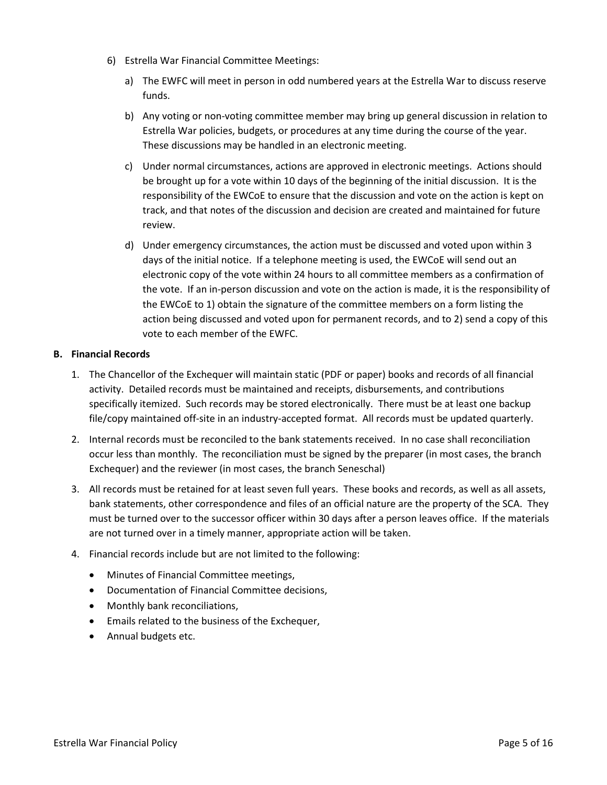- 6) Estrella War Financial Committee Meetings:
	- a) The EWFC will meet in person in odd numbered years at the Estrella War to discuss reserve funds.
	- b) Any voting or non-voting committee member may bring up general discussion in relation to Estrella War policies, budgets, or procedures at any time during the course of the year. These discussions may be handled in an electronic meeting.
	- c) Under normal circumstances, actions are approved in electronic meetings. Actions should be brought up for a vote within 10 days of the beginning of the initial discussion. It is the responsibility of the EWCoE to ensure that the discussion and vote on the action is kept on track, and that notes of the discussion and decision are created and maintained for future review.
	- d) Under emergency circumstances, the action must be discussed and voted upon within 3 days of the initial notice. If a telephone meeting is used, the EWCoE will send out an electronic copy of the vote within 24 hours to all committee members as a confirmation of the vote. If an in-person discussion and vote on the action is made, it is the responsibility of the EWCoE to 1) obtain the signature of the committee members on a form listing the action being discussed and voted upon for permanent records, and to 2) send a copy of this vote to each member of the EWFC.

#### **B. Financial Records**

- 1. The Chancellor of the Exchequer will maintain static (PDF or paper) books and records of all financial activity. Detailed records must be maintained and receipts, disbursements, and contributions specifically itemized. Such records may be stored electronically. There must be at least one backup file/copy maintained off-site in an industry-accepted format. All records must be updated quarterly.
- 2. Internal records must be reconciled to the bank statements received. In no case shall reconciliation occur less than monthly. The reconciliation must be signed by the preparer (in most cases, the branch Exchequer) and the reviewer (in most cases, the branch Seneschal)
- 3. All records must be retained for at least seven full years. These books and records, as well as all assets, bank statements, other correspondence and files of an official nature are the property of the SCA. They must be turned over to the successor officer within 30 days after a person leaves office. If the materials are not turned over in a timely manner, appropriate action will be taken.
- 4. Financial records include but are not limited to the following:
	- Minutes of Financial Committee meetings,
	- Documentation of Financial Committee decisions,
	- Monthly bank reconciliations,
	- Emails related to the business of the Exchequer,
	- Annual budgets etc.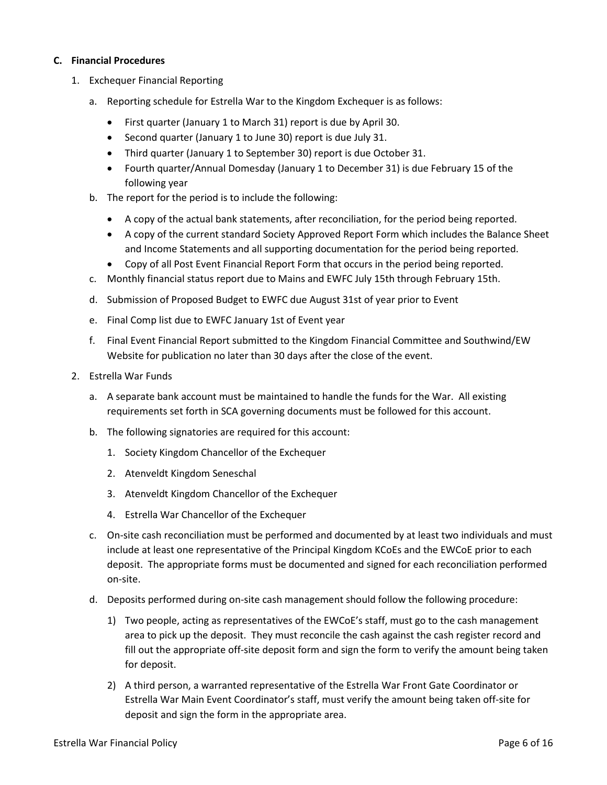#### **C. Financial Procedures**

- 1. Exchequer Financial Reporting
	- a. Reporting schedule for Estrella War to the Kingdom Exchequer is as follows:
		- First quarter (January 1 to March 31) report is due by April 30.
		- Second quarter (January 1 to June 30) report is due July 31.
		- Third quarter (January 1 to September 30) report is due October 31.
		- Fourth quarter/Annual Domesday (January 1 to December 31) is due February 15 of the following year
	- b. The report for the period is to include the following:
		- A copy of the actual bank statements, after reconciliation, for the period being reported.
		- A copy of the current standard Society Approved Report Form which includes the Balance Sheet and Income Statements and all supporting documentation for the period being reported.
		- Copy of all Post Event Financial Report Form that occurs in the period being reported.
	- c. Monthly financial status report due to Mains and EWFC July 15th through February 15th.
	- d. Submission of Proposed Budget to EWFC due August 31st of year prior to Event
	- e. Final Comp list due to EWFC January 1st of Event year
	- f. Final Event Financial Report submitted to the Kingdom Financial Committee and Southwind/EW Website for publication no later than 30 days after the close of the event.
- 2. Estrella War Funds
	- a. A separate bank account must be maintained to handle the funds for the War. All existing requirements set forth in SCA governing documents must be followed for this account.
	- b. The following signatories are required for this account:
		- 1. Society Kingdom Chancellor of the Exchequer
		- 2. Atenveldt Kingdom Seneschal
		- 3. Atenveldt Kingdom Chancellor of the Exchequer
		- 4. Estrella War Chancellor of the Exchequer
	- c. On-site cash reconciliation must be performed and documented by at least two individuals and must include at least one representative of the Principal Kingdom KCoEs and the EWCoE prior to each deposit. The appropriate forms must be documented and signed for each reconciliation performed on-site.
	- d. Deposits performed during on-site cash management should follow the following procedure:
		- 1) Two people, acting as representatives of the EWCoE's staff, must go to the cash management area to pick up the deposit. They must reconcile the cash against the cash register record and fill out the appropriate off-site deposit form and sign the form to verify the amount being taken for deposit.
		- 2) A third person, a warranted representative of the Estrella War Front Gate Coordinator or Estrella War Main Event Coordinator's staff, must verify the amount being taken off-site for deposit and sign the form in the appropriate area.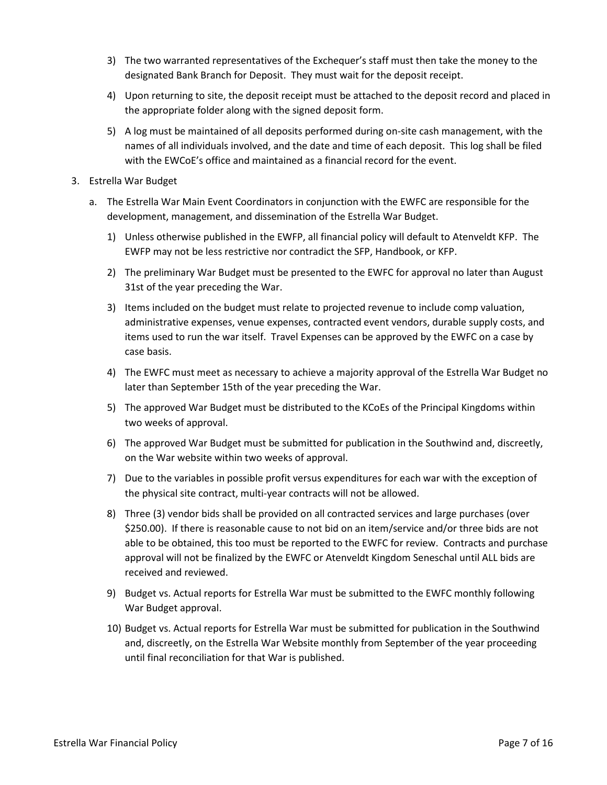- 3) The two warranted representatives of the Exchequer's staff must then take the money to the designated Bank Branch for Deposit. They must wait for the deposit receipt.
- 4) Upon returning to site, the deposit receipt must be attached to the deposit record and placed in the appropriate folder along with the signed deposit form.
- 5) A log must be maintained of all deposits performed during on-site cash management, with the names of all individuals involved, and the date and time of each deposit. This log shall be filed with the EWCoE's office and maintained as a financial record for the event.
- 3. Estrella War Budget
	- a. The Estrella War Main Event Coordinators in conjunction with the EWFC are responsible for the development, management, and dissemination of the Estrella War Budget.
		- 1) Unless otherwise published in the EWFP, all financial policy will default to Atenveldt KFP. The EWFP may not be less restrictive nor contradict the SFP, Handbook, or KFP.
		- 2) The preliminary War Budget must be presented to the EWFC for approval no later than August 31st of the year preceding the War.
		- 3) Items included on the budget must relate to projected revenue to include comp valuation, administrative expenses, venue expenses, contracted event vendors, durable supply costs, and items used to run the war itself. Travel Expenses can be approved by the EWFC on a case by case basis.
		- 4) The EWFC must meet as necessary to achieve a majority approval of the Estrella War Budget no later than September 15th of the year preceding the War.
		- 5) The approved War Budget must be distributed to the KCoEs of the Principal Kingdoms within two weeks of approval.
		- 6) The approved War Budget must be submitted for publication in the Southwind and, discreetly, on the War website within two weeks of approval.
		- 7) Due to the variables in possible profit versus expenditures for each war with the exception of the physical site contract, multi-year contracts will not be allowed.
		- 8) Three (3) vendor bids shall be provided on all contracted services and large purchases (over \$250.00). If there is reasonable cause to not bid on an item/service and/or three bids are not able to be obtained, this too must be reported to the EWFC for review. Contracts and purchase approval will not be finalized by the EWFC or Atenveldt Kingdom Seneschal until ALL bids are received and reviewed.
		- 9) Budget vs. Actual reports for Estrella War must be submitted to the EWFC monthly following War Budget approval.
		- 10) Budget vs. Actual reports for Estrella War must be submitted for publication in the Southwind and, discreetly, on the Estrella War Website monthly from September of the year proceeding until final reconciliation for that War is published.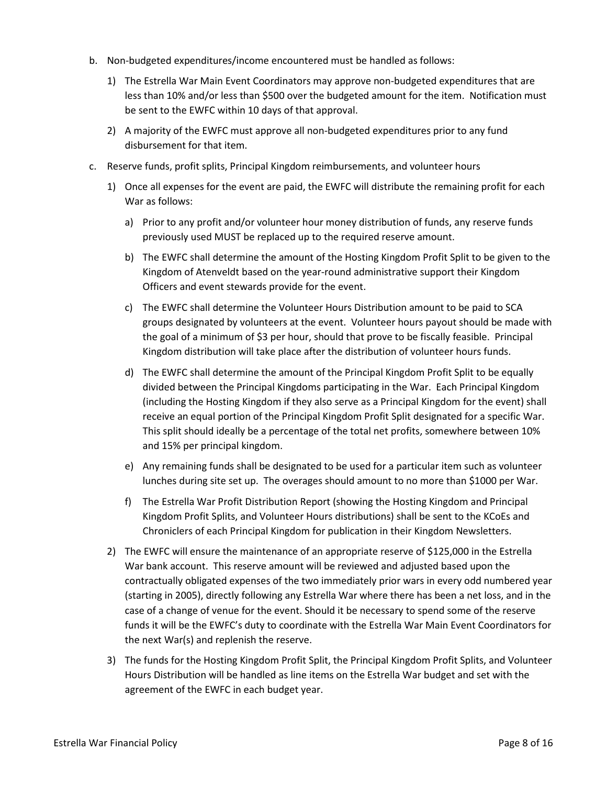- b. Non-budgeted expenditures/income encountered must be handled as follows:
	- 1) The Estrella War Main Event Coordinators may approve non-budgeted expenditures that are less than 10% and/or less than \$500 over the budgeted amount for the item. Notification must be sent to the EWFC within 10 days of that approval.
	- 2) A majority of the EWFC must approve all non-budgeted expenditures prior to any fund disbursement for that item.
- c. Reserve funds, profit splits, Principal Kingdom reimbursements, and volunteer hours
	- 1) Once all expenses for the event are paid, the EWFC will distribute the remaining profit for each War as follows:
		- a) Prior to any profit and/or volunteer hour money distribution of funds, any reserve funds previously used MUST be replaced up to the required reserve amount.
		- b) The EWFC shall determine the amount of the Hosting Kingdom Profit Split to be given to the Kingdom of Atenveldt based on the year-round administrative support their Kingdom Officers and event stewards provide for the event.
		- c) The EWFC shall determine the Volunteer Hours Distribution amount to be paid to SCA groups designated by volunteers at the event. Volunteer hours payout should be made with the goal of a minimum of \$3 per hour, should that prove to be fiscally feasible. Principal Kingdom distribution will take place after the distribution of volunteer hours funds.
		- d) The EWFC shall determine the amount of the Principal Kingdom Profit Split to be equally divided between the Principal Kingdoms participating in the War. Each Principal Kingdom (including the Hosting Kingdom if they also serve as a Principal Kingdom for the event) shall receive an equal portion of the Principal Kingdom Profit Split designated for a specific War. This split should ideally be a percentage of the total net profits, somewhere between 10% and 15% per principal kingdom.
		- e) Any remaining funds shall be designated to be used for a particular item such as volunteer lunches during site set up. The overages should amount to no more than \$1000 per War.
		- f) The Estrella War Profit Distribution Report (showing the Hosting Kingdom and Principal Kingdom Profit Splits, and Volunteer Hours distributions) shall be sent to the KCoEs and Chroniclers of each Principal Kingdom for publication in their Kingdom Newsletters.
	- 2) The EWFC will ensure the maintenance of an appropriate reserve of \$125,000 in the Estrella War bank account. This reserve amount will be reviewed and adjusted based upon the contractually obligated expenses of the two immediately prior wars in every odd numbered year (starting in 2005), directly following any Estrella War where there has been a net loss, and in the case of a change of venue for the event. Should it be necessary to spend some of the reserve funds it will be the EWFC's duty to coordinate with the Estrella War Main Event Coordinators for the next War(s) and replenish the reserve.
	- 3) The funds for the Hosting Kingdom Profit Split, the Principal Kingdom Profit Splits, and Volunteer Hours Distribution will be handled as line items on the Estrella War budget and set with the agreement of the EWFC in each budget year.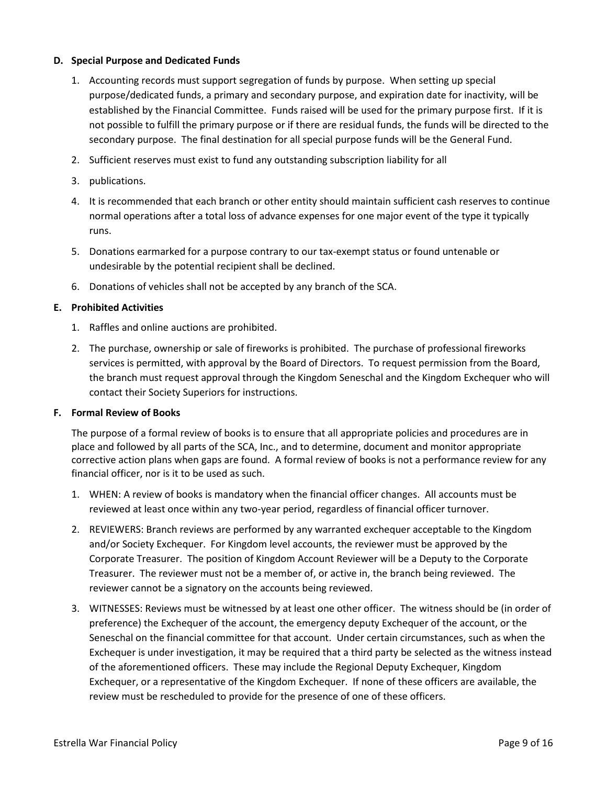#### **D. Special Purpose and Dedicated Funds**

- 1. Accounting records must support segregation of funds by purpose. When setting up special purpose/dedicated funds, a primary and secondary purpose, and expiration date for inactivity, will be established by the Financial Committee. Funds raised will be used for the primary purpose first. If it is not possible to fulfill the primary purpose or if there are residual funds, the funds will be directed to the secondary purpose. The final destination for all special purpose funds will be the General Fund.
- 2. Sufficient reserves must exist to fund any outstanding subscription liability for all
- 3. publications.
- 4. It is recommended that each branch or other entity should maintain sufficient cash reserves to continue normal operations after a total loss of advance expenses for one major event of the type it typically runs.
- 5. Donations earmarked for a purpose contrary to our tax-exempt status or found untenable or undesirable by the potential recipient shall be declined.
- 6. Donations of vehicles shall not be accepted by any branch of the SCA.

#### **E. Prohibited Activities**

- 1. Raffles and online auctions are prohibited.
- 2. The purchase, ownership or sale of fireworks is prohibited. The purchase of professional fireworks services is permitted, with approval by the Board of Directors. To request permission from the Board, the branch must request approval through the Kingdom Seneschal and the Kingdom Exchequer who will contact their Society Superiors for instructions.

#### **F. Formal Review of Books**

The purpose of a formal review of books is to ensure that all appropriate policies and procedures are in place and followed by all parts of the SCA, Inc., and to determine, document and monitor appropriate corrective action plans when gaps are found. A formal review of books is not a performance review for any financial officer, nor is it to be used as such.

- 1. WHEN: A review of books is mandatory when the financial officer changes. All accounts must be reviewed at least once within any two-year period, regardless of financial officer turnover.
- 2. REVIEWERS: Branch reviews are performed by any warranted exchequer acceptable to the Kingdom and/or Society Exchequer. For Kingdom level accounts, the reviewer must be approved by the Corporate Treasurer. The position of Kingdom Account Reviewer will be a Deputy to the Corporate Treasurer. The reviewer must not be a member of, or active in, the branch being reviewed. The reviewer cannot be a signatory on the accounts being reviewed.
- 3. WITNESSES: Reviews must be witnessed by at least one other officer. The witness should be (in order of preference) the Exchequer of the account, the emergency deputy Exchequer of the account, or the Seneschal on the financial committee for that account. Under certain circumstances, such as when the Exchequer is under investigation, it may be required that a third party be selected as the witness instead of the aforementioned officers. These may include the Regional Deputy Exchequer, Kingdom Exchequer, or a representative of the Kingdom Exchequer. If none of these officers are available, the review must be rescheduled to provide for the presence of one of these officers.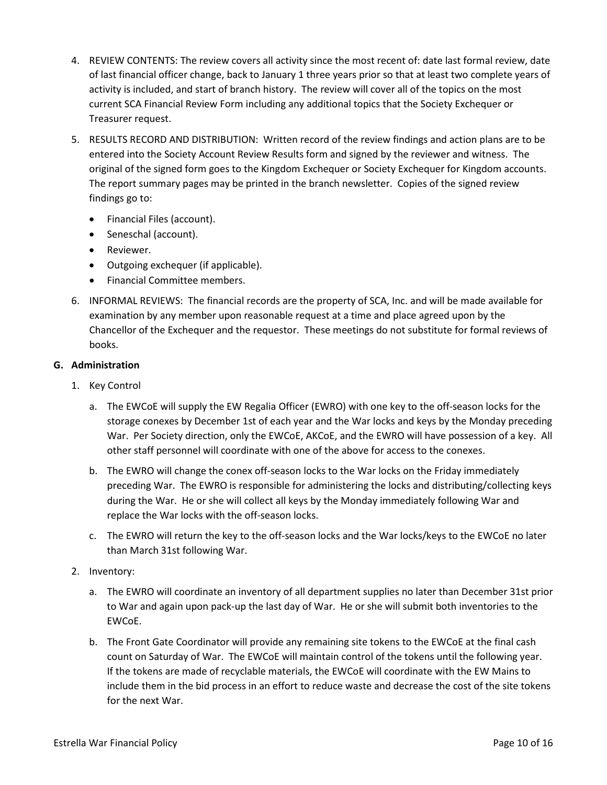- 4. REVIEW CONTENTS: The review covers all activity since the most recent of: date last formal review, date of last financial officer change, back to January 1 three years prior so that at least two complete years of activity is included, and start of branch history. The review will cover all of the topics on the most current SCA Financial Review Form including any additional topics that the Society Exchequer or Treasurer request.
- 5. RESULTS RECORD AND DISTRIBUTION: Written record of the review findings and action plans are to be entered into the Society Account Review Results form and signed by the reviewer and witness. The original of the signed form goes to the Kingdom Exchequer or Society Exchequer for Kingdom accounts. The report summary pages may be printed in the branch newsletter. Copies of the signed review findings go to:
	- Financial Files (account).
	- Seneschal (account).
	- Reviewer.
	- Outgoing exchequer (if applicable).
	- Financial Committee members.
- 6. INFORMAL REVIEWS: The financial records are the property of SCA, Inc. and will be made available for examination by any member upon reasonable request at a time and place agreed upon by the Chancellor of the Exchequer and the requestor. These meetings do not substitute for formal reviews of books.

#### **G. Administration**

- 1. Key Control
	- a. The EWCoE will supply the EW Regalia Officer (EWRO) with one key to the off-season locks for the storage conexes by December 1st of each year and the War locks and keys by the Monday preceding War. Per Society direction, only the EWCoE, AKCoE, and the EWRO will have possession of a key. All other staff personnel will coordinate with one of the above for access to the conexes.
	- b. The EWRO will change the conex off-season locks to the War locks on the Friday immediately preceding War. The EWRO is responsible for administering the locks and distributing/collecting keys during the War. He or she will collect all keys by the Monday immediately following War and replace the War locks with the off-season locks.
	- c. The EWRO will return the key to the off-season locks and the War locks/keys to the EWCoE no later than March 31st following War.
- 2. Inventory:
	- a. The EWRO will coordinate an inventory of all department supplies no later than December 31st prior to War and again upon pack-up the last day of War. He or she will submit both inventories to the EWCoE.
	- b. The Front Gate Coordinator will provide any remaining site tokens to the EWCoE at the final cash count on Saturday of War. The EWCoE will maintain control of the tokens until the following year. If the tokens are made of recyclable materials, the EWCoE will coordinate with the EW Mains to include them in the bid process in an effort to reduce waste and decrease the cost of the site tokens for the next War.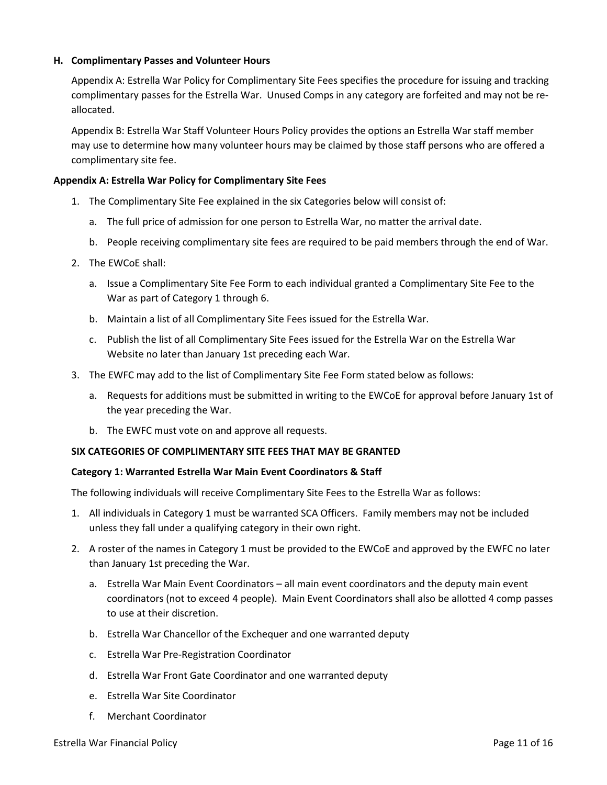#### **H. Complimentary Passes and Volunteer Hours**

Appendix A: Estrella War Policy for Complimentary Site Fees specifies the procedure for issuing and tracking complimentary passes for the Estrella War. Unused Comps in any category are forfeited and may not be reallocated.

Appendix B: Estrella War Staff Volunteer Hours Policy provides the options an Estrella War staff member may use to determine how many volunteer hours may be claimed by those staff persons who are offered a complimentary site fee.

#### **Appendix A: Estrella War Policy for Complimentary Site Fees**

- 1. The Complimentary Site Fee explained in the six Categories below will consist of:
	- a. The full price of admission for one person to Estrella War, no matter the arrival date.
	- b. People receiving complimentary site fees are required to be paid members through the end of War.
- 2. The EWCoE shall:
	- a. Issue a Complimentary Site Fee Form to each individual granted a Complimentary Site Fee to the War as part of Category 1 through 6.
	- b. Maintain a list of all Complimentary Site Fees issued for the Estrella War.
	- c. Publish the list of all Complimentary Site Fees issued for the Estrella War on the Estrella War Website no later than January 1st preceding each War.
- 3. The EWFC may add to the list of Complimentary Site Fee Form stated below as follows:
	- a. Requests for additions must be submitted in writing to the EWCoE for approval before January 1st of the year preceding the War.
	- b. The EWFC must vote on and approve all requests.

#### **SIX CATEGORIES OF COMPLIMENTARY SITE FEES THAT MAY BE GRANTED**

#### **Category 1: Warranted Estrella War Main Event Coordinators & Staff**

The following individuals will receive Complimentary Site Fees to the Estrella War as follows:

- 1. All individuals in Category 1 must be warranted SCA Officers. Family members may not be included unless they fall under a qualifying category in their own right.
- 2. A roster of the names in Category 1 must be provided to the EWCoE and approved by the EWFC no later than January 1st preceding the War.
	- a. Estrella War Main Event Coordinators all main event coordinators and the deputy main event coordinators (not to exceed 4 people). Main Event Coordinators shall also be allotted 4 comp passes to use at their discretion.
	- b. Estrella War Chancellor of the Exchequer and one warranted deputy
	- c. Estrella War Pre-Registration Coordinator
	- d. Estrella War Front Gate Coordinator and one warranted deputy
	- e. Estrella War Site Coordinator
	- f. Merchant Coordinator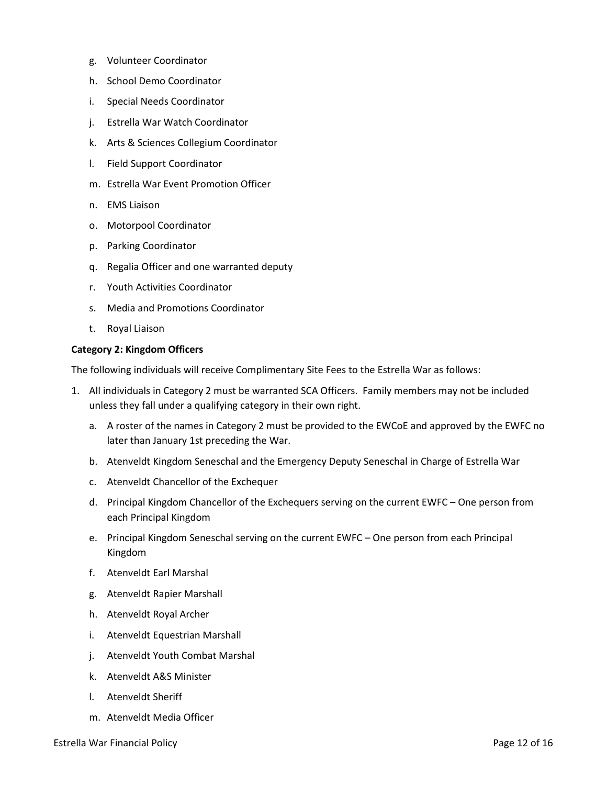- g. Volunteer Coordinator
- h. School Demo Coordinator
- i. Special Needs Coordinator
- j. Estrella War Watch Coordinator
- k. Arts & Sciences Collegium Coordinator
- l. Field Support Coordinator
- m. Estrella War Event Promotion Officer
- n. EMS Liaison
- o. Motorpool Coordinator
- p. Parking Coordinator
- q. Regalia Officer and one warranted deputy
- r. Youth Activities Coordinator
- s. Media and Promotions Coordinator
- t. Royal Liaison

#### **Category 2: Kingdom Officers**

The following individuals will receive Complimentary Site Fees to the Estrella War as follows:

- 1. All individuals in Category 2 must be warranted SCA Officers. Family members may not be included unless they fall under a qualifying category in their own right.
	- a. A roster of the names in Category 2 must be provided to the EWCoE and approved by the EWFC no later than January 1st preceding the War.
	- b. Atenveldt Kingdom Seneschal and the Emergency Deputy Seneschal in Charge of Estrella War
	- c. Atenveldt Chancellor of the Exchequer
	- d. Principal Kingdom Chancellor of the Exchequers serving on the current EWFC One person from each Principal Kingdom
	- e. Principal Kingdom Seneschal serving on the current EWFC One person from each Principal Kingdom
	- f. Atenveldt Earl Marshal
	- g. Atenveldt Rapier Marshall
	- h. Atenveldt Royal Archer
	- i. Atenveldt Equestrian Marshall
	- j. Atenveldt Youth Combat Marshal
	- k. Atenveldt A&S Minister
	- l. Atenveldt Sheriff
	- m. Atenveldt Media Officer

Estrella War Financial Policy **Page 12 of 16** and the extreme of the extreme of the extreme of the extreme of the extreme of the extreme of the extreme of the extreme of the extreme of the extreme of the extreme of the ext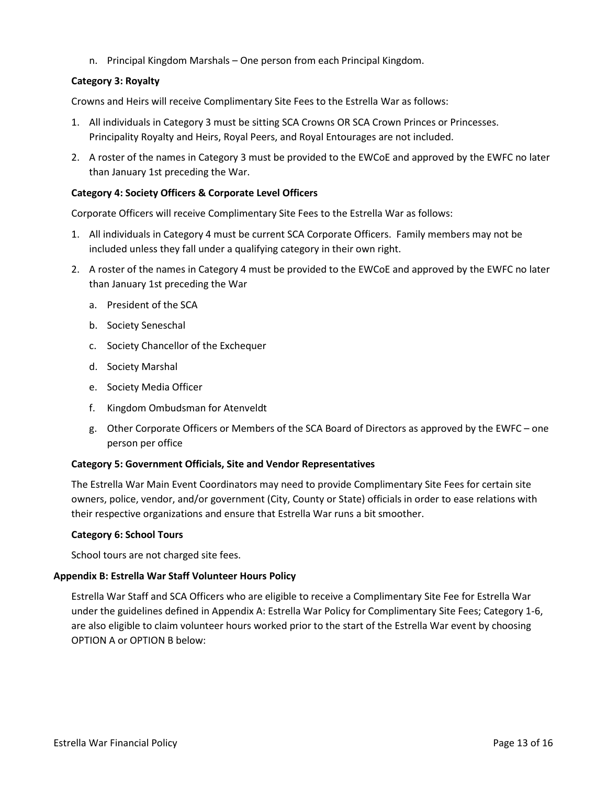n. Principal Kingdom Marshals – One person from each Principal Kingdom.

#### **Category 3: Royalty**

Crowns and Heirs will receive Complimentary Site Fees to the Estrella War as follows:

- 1. All individuals in Category 3 must be sitting SCA Crowns OR SCA Crown Princes or Princesses. Principality Royalty and Heirs, Royal Peers, and Royal Entourages are not included.
- 2. A roster of the names in Category 3 must be provided to the EWCoE and approved by the EWFC no later than January 1st preceding the War.

#### **Category 4: Society Officers & Corporate Level Officers**

Corporate Officers will receive Complimentary Site Fees to the Estrella War as follows:

- 1. All individuals in Category 4 must be current SCA Corporate Officers. Family members may not be included unless they fall under a qualifying category in their own right.
- 2. A roster of the names in Category 4 must be provided to the EWCoE and approved by the EWFC no later than January 1st preceding the War
	- a. President of the SCA
	- b. Society Seneschal
	- c. Society Chancellor of the Exchequer
	- d. Society Marshal
	- e. Society Media Officer
	- f. Kingdom Ombudsman for Atenveldt
	- g. Other Corporate Officers or Members of the SCA Board of Directors as approved by the EWFC one person per office

#### **Category 5: Government Officials, Site and Vendor Representatives**

The Estrella War Main Event Coordinators may need to provide Complimentary Site Fees for certain site owners, police, vendor, and/or government (City, County or State) officials in order to ease relations with their respective organizations and ensure that Estrella War runs a bit smoother.

#### **Category 6: School Tours**

School tours are not charged site fees.

#### **Appendix B: Estrella War Staff Volunteer Hours Policy**

Estrella War Staff and SCA Officers who are eligible to receive a Complimentary Site Fee for Estrella War under the guidelines defined in Appendix A: Estrella War Policy for Complimentary Site Fees; Category 1-6, are also eligible to claim volunteer hours worked prior to the start of the Estrella War event by choosing OPTION A or OPTION B below: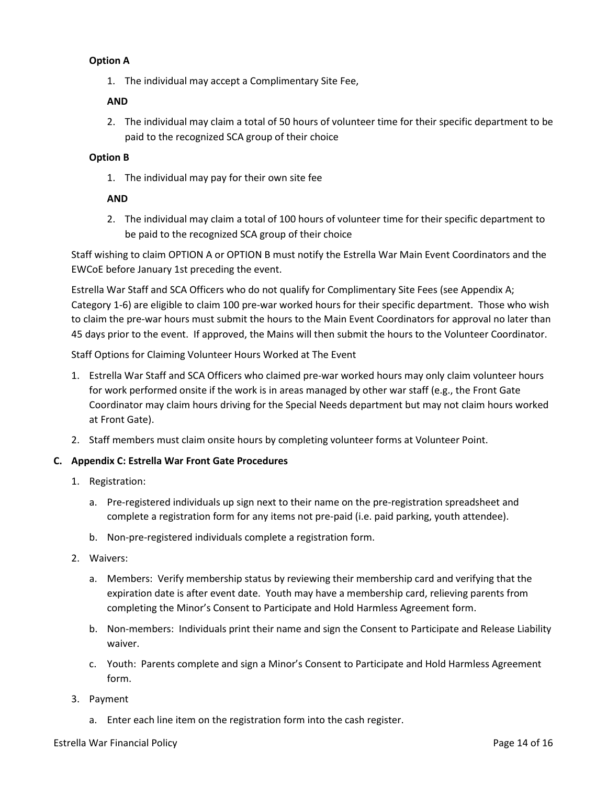#### **Option A**

1. The individual may accept a Complimentary Site Fee,

#### **AND**

2. The individual may claim a total of 50 hours of volunteer time for their specific department to be paid to the recognized SCA group of their choice

#### **Option B**

1. The individual may pay for their own site fee

#### **AND**

2. The individual may claim a total of 100 hours of volunteer time for their specific department to be paid to the recognized SCA group of their choice

Staff wishing to claim OPTION A or OPTION B must notify the Estrella War Main Event Coordinators and the EWCoE before January 1st preceding the event.

Estrella War Staff and SCA Officers who do not qualify for Complimentary Site Fees (see Appendix A; Category 1-6) are eligible to claim 100 pre-war worked hours for their specific department. Those who wish to claim the pre-war hours must submit the hours to the Main Event Coordinators for approval no later than 45 days prior to the event. If approved, the Mains will then submit the hours to the Volunteer Coordinator.

Staff Options for Claiming Volunteer Hours Worked at The Event

- 1. Estrella War Staff and SCA Officers who claimed pre-war worked hours may only claim volunteer hours for work performed onsite if the work is in areas managed by other war staff (e.g., the Front Gate Coordinator may claim hours driving for the Special Needs department but may not claim hours worked at Front Gate).
- 2. Staff members must claim onsite hours by completing volunteer forms at Volunteer Point.

#### **C. Appendix C: Estrella War Front Gate Procedures**

- 1. Registration:
	- a. Pre-registered individuals up sign next to their name on the pre-registration spreadsheet and complete a registration form for any items not pre-paid (i.e. paid parking, youth attendee).
	- b. Non-pre-registered individuals complete a registration form.
- 2. Waivers:
	- a. Members: Verify membership status by reviewing their membership card and verifying that the expiration date is after event date. Youth may have a membership card, relieving parents from completing the Minor's Consent to Participate and Hold Harmless Agreement form.
	- b. Non-members: Individuals print their name and sign the Consent to Participate and Release Liability waiver.
	- c. Youth: Parents complete and sign a Minor's Consent to Participate and Hold Harmless Agreement form.
- 3. Payment
	- a. Enter each line item on the registration form into the cash register.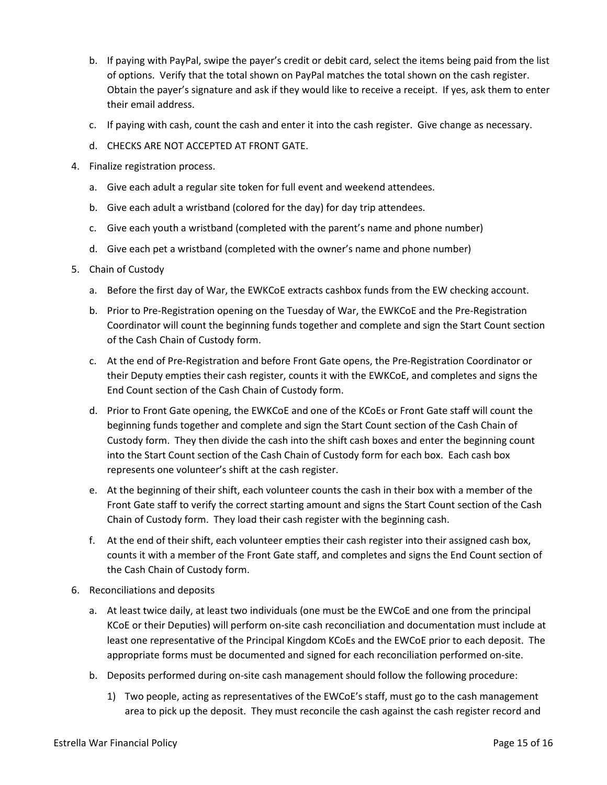- b. If paying with PayPal, swipe the payer's credit or debit card, select the items being paid from the list of options. Verify that the total shown on PayPal matches the total shown on the cash register. Obtain the payer's signature and ask if they would like to receive a receipt. If yes, ask them to enter their email address.
- c. If paying with cash, count the cash and enter it into the cash register. Give change as necessary.
- d. CHECKS ARE NOT ACCEPTED AT FRONT GATE.
- 4. Finalize registration process.
	- a. Give each adult a regular site token for full event and weekend attendees.
	- b. Give each adult a wristband (colored for the day) for day trip attendees.
	- c. Give each youth a wristband (completed with the parent's name and phone number)
	- d. Give each pet a wristband (completed with the owner's name and phone number)
- 5. Chain of Custody
	- a. Before the first day of War, the EWKCoE extracts cashbox funds from the EW checking account.
	- b. Prior to Pre-Registration opening on the Tuesday of War, the EWKCoE and the Pre-Registration Coordinator will count the beginning funds together and complete and sign the Start Count section of the Cash Chain of Custody form.
	- c. At the end of Pre-Registration and before Front Gate opens, the Pre-Registration Coordinator or their Deputy empties their cash register, counts it with the EWKCoE, and completes and signs the End Count section of the Cash Chain of Custody form.
	- d. Prior to Front Gate opening, the EWKCoE and one of the KCoEs or Front Gate staff will count the beginning funds together and complete and sign the Start Count section of the Cash Chain of Custody form. They then divide the cash into the shift cash boxes and enter the beginning count into the Start Count section of the Cash Chain of Custody form for each box. Each cash box represents one volunteer's shift at the cash register.
	- e. At the beginning of their shift, each volunteer counts the cash in their box with a member of the Front Gate staff to verify the correct starting amount and signs the Start Count section of the Cash Chain of Custody form. They load their cash register with the beginning cash.
	- f. At the end of their shift, each volunteer empties their cash register into their assigned cash box, counts it with a member of the Front Gate staff, and completes and signs the End Count section of the Cash Chain of Custody form.
- 6. Reconciliations and deposits
	- a. At least twice daily, at least two individuals (one must be the EWCoE and one from the principal KCoE or their Deputies) will perform on-site cash reconciliation and documentation must include at least one representative of the Principal Kingdom KCoEs and the EWCoE prior to each deposit. The appropriate forms must be documented and signed for each reconciliation performed on-site.
	- b. Deposits performed during on-site cash management should follow the following procedure:
		- 1) Two people, acting as representatives of the EWCoE's staff, must go to the cash management area to pick up the deposit. They must reconcile the cash against the cash register record and